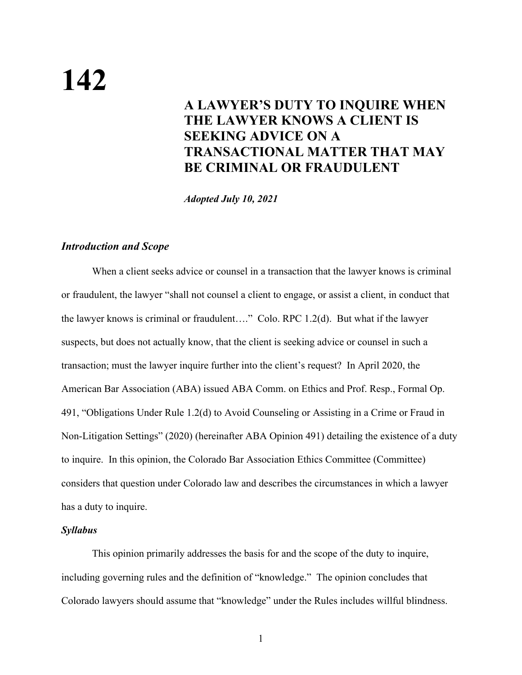# **142**

# **A LAWYER'S DUTY TO INQUIRE WHEN THE LAWYER KNOWS A CLIENT IS SEEKING ADVICE ON A TRANSACTIONAL MATTER THAT MAY BE CRIMINAL OR FRAUDULENT**

*Adopted July 10, 2021*

#### *Introduction and Scope*

When a client seeks advice or counsel in a transaction that the lawyer knows is criminal or fraudulent, the lawyer "shall not counsel a client to engage, or assist a client, in conduct that the lawyer knows is criminal or fraudulent…." Colo. RPC 1.2(d). But what if the lawyer suspects, but does not actually know, that the client is seeking advice or counsel in such a transaction; must the lawyer inquire further into the client's request? In April 2020, the American Bar Association (ABA) issued ABA Comm. on Ethics and Prof. Resp., Formal Op. 491, "Obligations Under Rule 1.2(d) to Avoid Counseling or Assisting in a Crime or Fraud in Non-Litigation Settings" (2020) (hereinafter ABA Opinion 491) detailing the existence of a duty to inquire. In this opinion, the Colorado Bar Association Ethics Committee (Committee) considers that question under Colorado law and describes the circumstances in which a lawyer has a duty to inquire.

# *Syllabus*

This opinion primarily addresses the basis for and the scope of the duty to inquire, including governing rules and the definition of "knowledge." The opinion concludes that Colorado lawyers should assume that "knowledge" under the Rules includes willful blindness.

1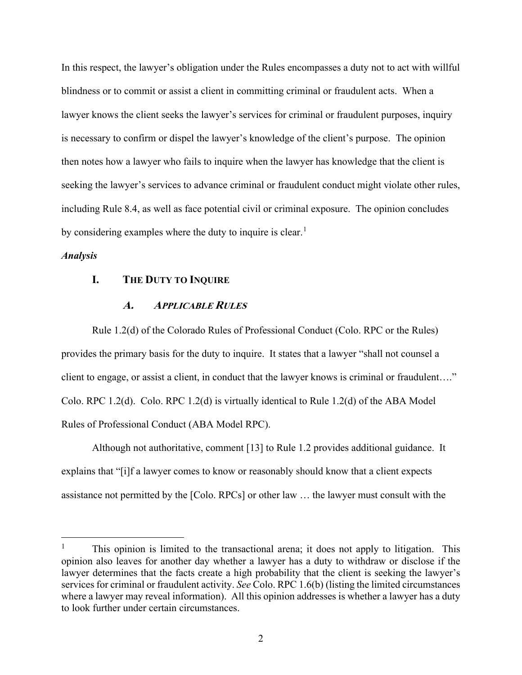In this respect, the lawyer's obligation under the Rules encompasses a duty not to act with willful blindness or to commit or assist a client in committing criminal or fraudulent acts. When a lawyer knows the client seeks the lawyer's services for criminal or fraudulent purposes, inquiry is necessary to confirm or dispel the lawyer's knowledge of the client's purpose. The opinion then notes how a lawyer who fails to inquire when the lawyer has knowledge that the client is seeking the lawyer's services to advance criminal or fraudulent conduct might violate other rules, including Rule 8.4, as well as face potential civil or criminal exposure. The opinion concludes by considering examples where the duty to inquire is clear.<sup>[1](#page-1-0)</sup>

#### *Analysis*

#### **I. THE DUTY TO INQUIRE**

#### **A. APPLICABLE RULES**

Rule 1.2(d) of the Colorado Rules of Professional Conduct (Colo. RPC or the Rules) provides the primary basis for the duty to inquire. It states that a lawyer "shall not counsel a client to engage, or assist a client, in conduct that the lawyer knows is criminal or fraudulent…." Colo. RPC 1.2(d). Colo. RPC 1.2(d) is virtually identical to Rule 1.2(d) of the ABA Model Rules of Professional Conduct (ABA Model RPC).

Although not authoritative, comment [13] to Rule 1.2 provides additional guidance. It explains that "[i]f a lawyer comes to know or reasonably should know that a client expects assistance not permitted by the [Colo. RPCs] or other law … the lawyer must consult with the

<span id="page-1-0"></span><sup>&</sup>lt;sup>1</sup> This opinion is limited to the transactional arena; it does not apply to litigation. This opinion also leaves for another day whether a lawyer has a duty to withdraw or disclose if the lawyer determines that the facts create a high probability that the client is seeking the lawyer's services for criminal or fraudulent activity. *See* Colo. RPC 1.6(b) (listing the limited circumstances where a lawyer may reveal information). All this opinion addresses is whether a lawyer has a duty to look further under certain circumstances.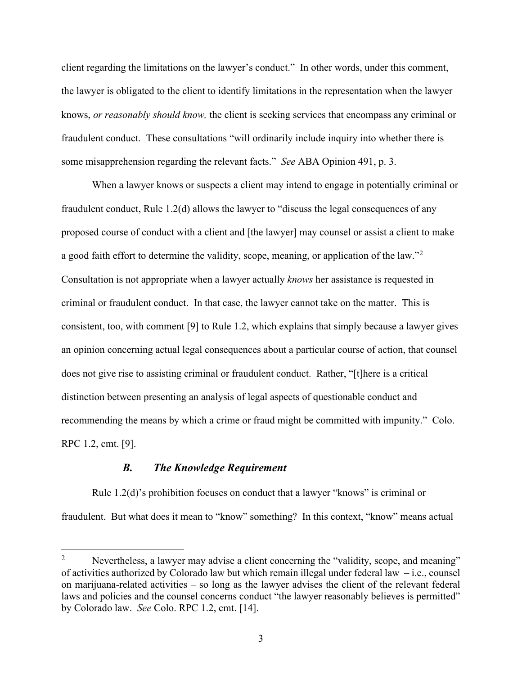client regarding the limitations on the lawyer's conduct." In other words, under this comment, the lawyer is obligated to the client to identify limitations in the representation when the lawyer knows, *or reasonably should know,* the client is seeking services that encompass any criminal or fraudulent conduct. These consultations "will ordinarily include inquiry into whether there is some misapprehension regarding the relevant facts." *See* ABA Opinion 491, p. 3.

When a lawyer knows or suspects a client may intend to engage in potentially criminal or fraudulent conduct, Rule 1.2(d) allows the lawyer to "discuss the legal consequences of any proposed course of conduct with a client and [the lawyer] may counsel or assist a client to make a good faith effort to determine the validity, scope, meaning, or application of the law."[2](#page-2-0) Consultation is not appropriate when a lawyer actually *knows* her assistance is requested in criminal or fraudulent conduct. In that case, the lawyer cannot take on the matter. This is consistent, too, with comment [9] to Rule 1.2, which explains that simply because a lawyer gives an opinion concerning actual legal consequences about a particular course of action, that counsel does not give rise to assisting criminal or fraudulent conduct. Rather, "[t]here is a critical distinction between presenting an analysis of legal aspects of questionable conduct and recommending the means by which a crime or fraud might be committed with impunity." Colo. RPC 1.2, cmt. [9].

# *B. The Knowledge Requirement*

Rule 1.2(d)'s prohibition focuses on conduct that a lawyer "knows" is criminal or fraudulent. But what does it mean to "know" something? In this context, "know" means actual

<span id="page-2-0"></span><sup>&</sup>lt;sup>2</sup> Nevertheless, a lawyer may advise a client concerning the "validity, scope, and meaning" of activities authorized by Colorado law but which remain illegal under federal law – i.e., counsel on marijuana-related activities – so long as the lawyer advises the client of the relevant federal laws and policies and the counsel concerns conduct "the lawyer reasonably believes is permitted" by Colorado law. *See* Colo. RPC 1.2, cmt. [14].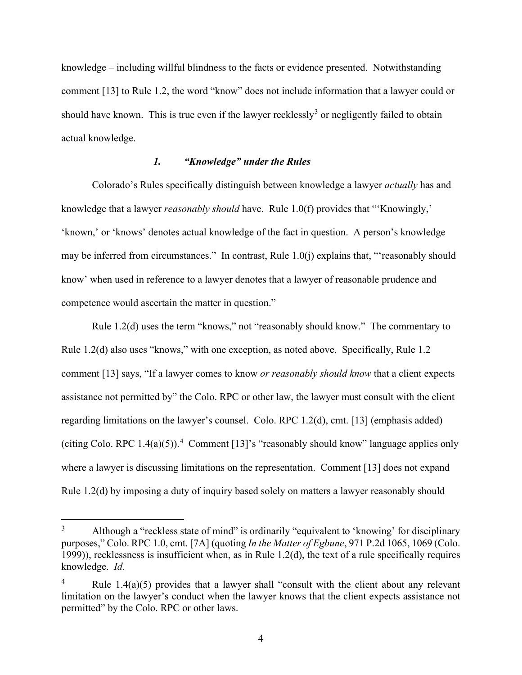knowledge – including willful blindness to the facts or evidence presented. Notwithstanding comment [13] to Rule 1.2, the word "know" does not include information that a lawyer could or should have known. This is true even if the lawyer recklessly<sup>[3](#page-3-0)</sup> or negligently failed to obtain actual knowledge.

# *1. "Knowledge" under the Rules*

Colorado's Rules specifically distinguish between knowledge a lawyer *actually* has and knowledge that a lawyer *reasonably should* have. Rule 1.0(f) provides that "'Knowingly,' 'known,' or 'knows' denotes actual knowledge of the fact in question. A person's knowledge may be inferred from circumstances." In contrast, Rule 1.0(j) explains that, "'reasonably should know' when used in reference to a lawyer denotes that a lawyer of reasonable prudence and competence would ascertain the matter in question."

Rule 1.2(d) uses the term "knows," not "reasonably should know." The commentary to Rule 1.2(d) also uses "knows," with one exception, as noted above. Specifically, Rule 1.2 comment [13] says, "If a lawyer comes to know *or reasonably should know* that a client expects assistance not permitted by" the Colo. RPC or other law, the lawyer must consult with the client regarding limitations on the lawyer's counsel. Colo. RPC 1.2(d), cmt. [13] (emphasis added) (citing Colo. RPC 1.[4](#page-3-1)(a)(5)).<sup>4</sup> Comment [13]'s "reasonably should know" language applies only where a lawyer is discussing limitations on the representation. Comment [13] does not expand Rule 1.2(d) by imposing a duty of inquiry based solely on matters a lawyer reasonably should

<span id="page-3-0"></span> $3$  Although a "reckless state of mind" is ordinarily "equivalent to 'knowing' for disciplinary purposes," Colo. RPC 1.0, cmt. [7A] (quoting *In the Matter of Egbune*, 971 P.2d 1065, 1069 (Colo. 1999)), recklessness is insufficient when, as in Rule 1.2(d), the text of a rule specifically requires knowledge. *Id.*

<span id="page-3-1"></span>Rule  $1.4(a)(5)$  provides that a lawyer shall "consult with the client about any relevant limitation on the lawyer's conduct when the lawyer knows that the client expects assistance not permitted" by the Colo. RPC or other laws.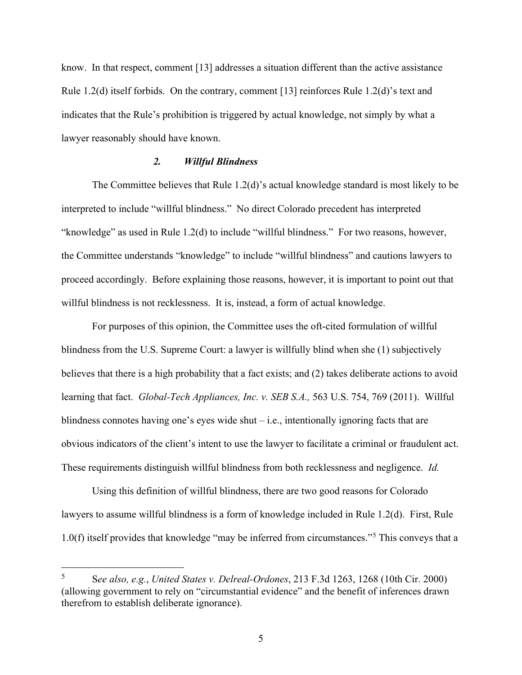know. In that respect, comment [13] addresses a situation different than the active assistance Rule 1.2(d) itself forbids. On the contrary, comment [13] reinforces Rule 1.2(d)'s text and indicates that the Rule's prohibition is triggered by actual knowledge, not simply by what a lawyer reasonably should have known.

#### *2. Willful Blindness*

The Committee believes that Rule 1.2(d)'s actual knowledge standard is most likely to be interpreted to include "willful blindness." No direct Colorado precedent has interpreted "knowledge" as used in Rule 1.2(d) to include "willful blindness." For two reasons, however, the Committee understands "knowledge" to include "willful blindness" and cautions lawyers to proceed accordingly. Before explaining those reasons, however, it is important to point out that willful blindness is not recklessness. It is, instead, a form of actual knowledge.

For purposes of this opinion, the Committee uses the oft-cited formulation of willful blindness from the U.S. Supreme Court: a lawyer is willfully blind when she (1) subjectively believes that there is a high probability that a fact exists; and (2) takes deliberate actions to avoid learning that fact. *Global-Tech Appliances, Inc. v. SEB S.A.,* 563 U.S. 754, 769 (2011). Willful blindness connotes having one's eyes wide shut – i.e., intentionally ignoring facts that are obvious indicators of the client's intent to use the lawyer to facilitate a criminal or fraudulent act. These requirements distinguish willful blindness from both recklessness and negligence. *Id.*

Using this definition of willful blindness, there are two good reasons for Colorado lawyers to assume willful blindness is a form of knowledge included in Rule 1.2(d). First, Rule 1.0(f) itself provides that knowledge "may be inferred from circumstances."[5](#page-4-0) This conveys that a

<span id="page-4-0"></span><sup>5</sup> S*ee also, e.g.*, *United States v. Delreal-Ordones*, 213 F.3d 1263, 1268 (10th Cir. 2000) (allowing government to rely on "circumstantial evidence" and the benefit of inferences drawn therefrom to establish deliberate ignorance).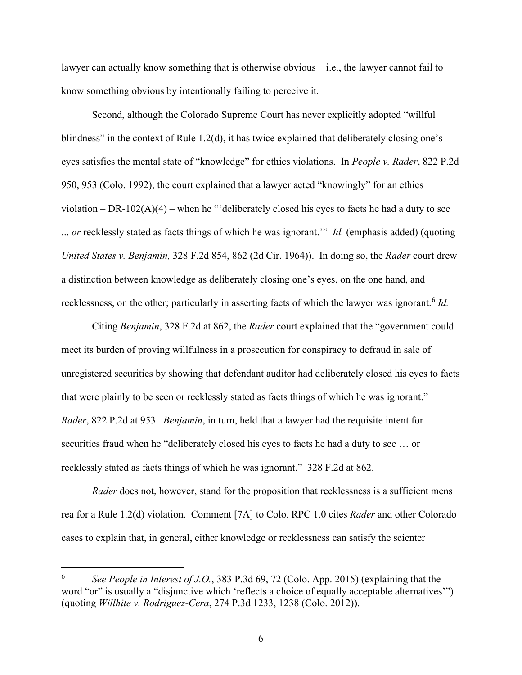lawyer can actually know something that is otherwise obvious – i.e., the lawyer cannot fail to know something obvious by intentionally failing to perceive it.

Second, although the Colorado Supreme Court has never explicitly adopted "willful blindness" in the context of Rule 1.2(d), it has twice explained that deliberately closing one's eyes satisfies the mental state of "knowledge" for ethics violations. In *People v. Rader*, 822 P.2d 950, 953 (Colo. 1992), the court explained that a lawyer acted "knowingly" for an ethics violation – DR-102(A)(4) – when he "'deliberately closed his eyes to facts he had a duty to see ... *or* recklessly stated as facts things of which he was ignorant.'" *Id.* (emphasis added) (quoting *United States v. Benjamin,* 328 F.2d 854, 862 (2d Cir. 1964)). In doing so, the *Rader* court drew a distinction between knowledge as deliberately closing one's eyes, on the one hand, and recklessness, on the other; particularly in asserting facts of which the lawyer was ignorant.<sup>[6](#page-5-0)</sup> *Id.* 

Citing *Benjamin*, 328 F.2d at 862, the *Rader* court explained that the "government could meet its burden of proving willfulness in a prosecution for conspiracy to defraud in sale of unregistered securities by showing that defendant auditor had deliberately closed his eyes to facts that were plainly to be seen or recklessly stated as facts things of which he was ignorant." *Rader*, 822 P.2d at 953. *Benjamin*, in turn, held that a lawyer had the requisite intent for securities fraud when he "deliberately closed his eyes to facts he had a duty to see … or recklessly stated as facts things of which he was ignorant." 328 F.2d at 862.

*Rader* does not, however, stand for the proposition that recklessness is a sufficient mens rea for a Rule 1.2(d) violation. Comment [7A] to Colo. RPC 1.0 cites *Rader* and other Colorado cases to explain that, in general, either knowledge or recklessness can satisfy the scienter

<span id="page-5-0"></span><sup>6</sup> *See People in Interest of J.O.*, 383 P.3d 69, 72 (Colo. App. 2015) (explaining that the word "or" is usually a "disjunctive which 'reflects a choice of equally acceptable alternatives'") (quoting *Willhite v. Rodriguez-Cera*, 274 P.3d 1233, 1238 (Colo. 2012)).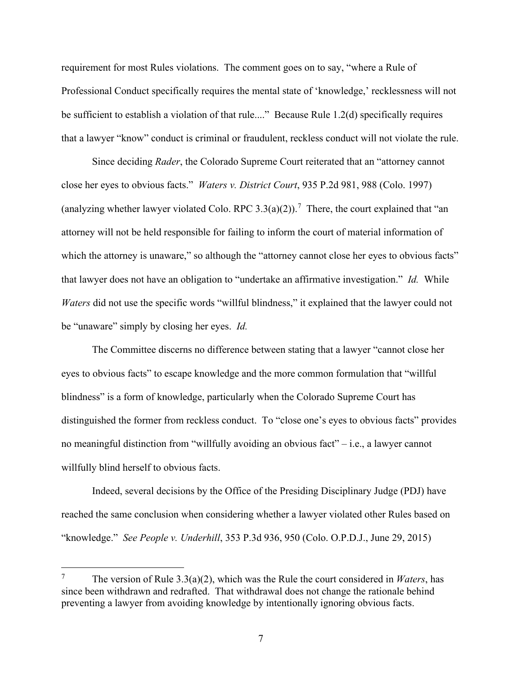requirement for most Rules violations. The comment goes on to say, "where a Rule of Professional Conduct specifically requires the mental state of 'knowledge,' recklessness will not be sufficient to establish a violation of that rule...." Because Rule 1.2(d) specifically requires that a lawyer "know" conduct is criminal or fraudulent, reckless conduct will not violate the rule.

Since deciding *Rader*, the Colorado Supreme Court reiterated that an "attorney cannot close her eyes to obvious facts." *Waters v. District Court*, 935 P.2d 981, 988 (Colo. 1997) (analyzing whether lawyer violated Colo. RPC 3.3(a)(2)).<sup>[7](#page-6-0)</sup> There, the court explained that "an attorney will not be held responsible for failing to inform the court of material information of which the attorney is unaware," so although the "attorney cannot close her eyes to obvious facts" that lawyer does not have an obligation to "undertake an affirmative investigation." *Id.* While *Waters* did not use the specific words "willful blindness," it explained that the lawyer could not be "unaware" simply by closing her eyes. *Id.*

The Committee discerns no difference between stating that a lawyer "cannot close her eyes to obvious facts" to escape knowledge and the more common formulation that "willful blindness" is a form of knowledge, particularly when the Colorado Supreme Court has distinguished the former from reckless conduct. To "close one's eyes to obvious facts" provides no meaningful distinction from "willfully avoiding an obvious fact" – i.e., a lawyer cannot willfully blind herself to obvious facts.

Indeed, several decisions by the Office of the Presiding Disciplinary Judge (PDJ) have reached the same conclusion when considering whether a lawyer violated other Rules based on "knowledge." *See People v. Underhill*, 353 P.3d 936, 950 (Colo. O.P.D.J., June 29, 2015)

<span id="page-6-0"></span><sup>7</sup> The version of Rule 3.3(a)(2), which was the Rule the court considered in *Waters*, has since been withdrawn and redrafted. That withdrawal does not change the rationale behind preventing a lawyer from avoiding knowledge by intentionally ignoring obvious facts.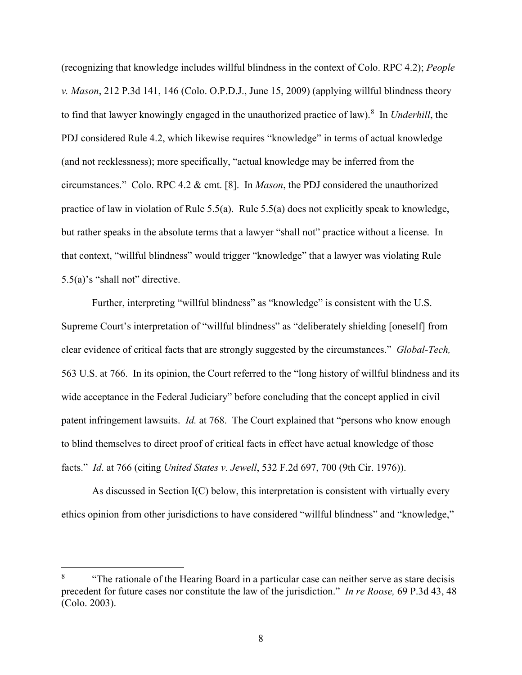(recognizing that knowledge includes willful blindness in the context of Colo. RPC 4.2); *People v. Mason*, 212 P.3d 141, 146 (Colo. O.P.D.J., June 15, 2009) (applying willful blindness theory to find that lawyer knowingly engaged in the unauthorized practice of law).<sup>[8](#page-7-0)</sup> In *Underhill*, the PDJ considered Rule 4.2, which likewise requires "knowledge" in terms of actual knowledge (and not recklessness); more specifically, "actual knowledge may be inferred from the circumstances." Colo. RPC 4.2 & cmt. [8]. In *Mason*, the PDJ considered the unauthorized practice of law in violation of Rule 5.5(a). Rule 5.5(a) does not explicitly speak to knowledge, but rather speaks in the absolute terms that a lawyer "shall not" practice without a license. In that context, "willful blindness" would trigger "knowledge" that a lawyer was violating Rule 5.5(a)'s "shall not" directive.

Further, interpreting "willful blindness" as "knowledge" is consistent with the U.S. Supreme Court's interpretation of "willful blindness" as "deliberately shielding [oneself] from clear evidence of critical facts that are strongly suggested by the circumstances." *Global-Tech,*  563 U.S. at 766. In its opinion, the Court referred to the "long history of willful blindness and its wide acceptance in the Federal Judiciary" before concluding that the concept applied in civil patent infringement lawsuits. *Id.* at 768. The Court explained that "persons who know enough to blind themselves to direct proof of critical facts in effect have actual knowledge of those facts." *Id*. at 766 (citing *United States v. Jewell*, 532 F.2d 697, 700 (9th Cir. 1976)).

As discussed in Section I(C) below, this interpretation is consistent with virtually every ethics opinion from other jurisdictions to have considered "willful blindness" and "knowledge,"

<span id="page-7-0"></span><sup>&</sup>lt;sup>8</sup> "The rationale of the Hearing Board in a particular case can neither serve as stare decisis precedent for future cases nor constitute the law of the jurisdiction." *In re Roose,* 69 P.3d 43, 48 (Colo. 2003).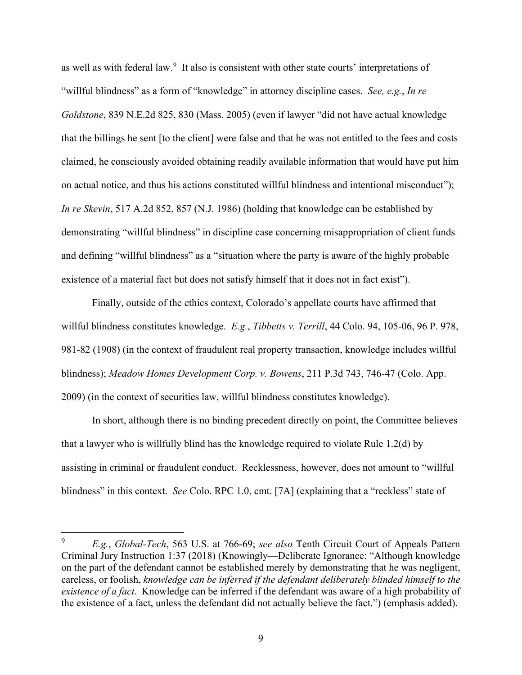as well as with federal law.<sup>[9](#page-8-0)</sup> It also is consistent with other state courts' interpretations of "willful blindness" as a form of "knowledge" in attorney discipline cases. *See, e.g.*, *In re Goldstone*, 839 N.E.2d 825, 830 (Mass. 2005) (even if lawyer "did not have actual knowledge that the billings he sent [to the client] were false and that he was not entitled to the fees and costs claimed, he consciously avoided obtaining readily available information that would have put him on actual notice, and thus his actions constituted willful blindness and intentional misconduct"); *In re Skevin*, 517 A.2d 852, 857 (N.J. 1986) (holding that knowledge can be established by demonstrating "willful blindness" in discipline case concerning misappropriation of client funds and defining "willful blindness" as a "situation where the party is aware of the highly probable existence of a material fact but does not satisfy himself that it does not in fact exist").

Finally, outside of the ethics context, Colorado's appellate courts have affirmed that willful blindness constitutes knowledge. *E.g.*, *Tibbetts v. Terrill*, 44 Colo. 94, 105-06, 96 P. 978, 981-82 (1908) (in the context of fraudulent real property transaction, knowledge includes willful blindness); *Meadow Homes Development Corp. v. Bowens*, 211 P.3d 743, 746-47 (Colo. App. 2009) (in the context of securities law, willful blindness constitutes knowledge).

In short, although there is no binding precedent directly on point, the Committee believes that a lawyer who is willfully blind has the knowledge required to violate Rule 1.2(d) by assisting in criminal or fraudulent conduct. Recklessness, however, does not amount to "willful blindness" in this context. *See* Colo. RPC 1.0, cmt. [7A] (explaining that a "reckless" state of

<span id="page-8-0"></span><sup>9</sup> *E.g.*, *Global-Tech*, 563 U.S. at 766-69; *see also* Tenth Circuit Court of Appeals Pattern Criminal Jury Instruction 1:37 (2018) (Knowingly—Deliberate Ignorance: "Although knowledge on the part of the defendant cannot be established merely by demonstrating that he was negligent, careless, or foolish, *knowledge can be inferred if the defendant deliberately blinded himself to the existence of a fact*. Knowledge can be inferred if the defendant was aware of a high probability of the existence of a fact, unless the defendant did not actually believe the fact.") (emphasis added).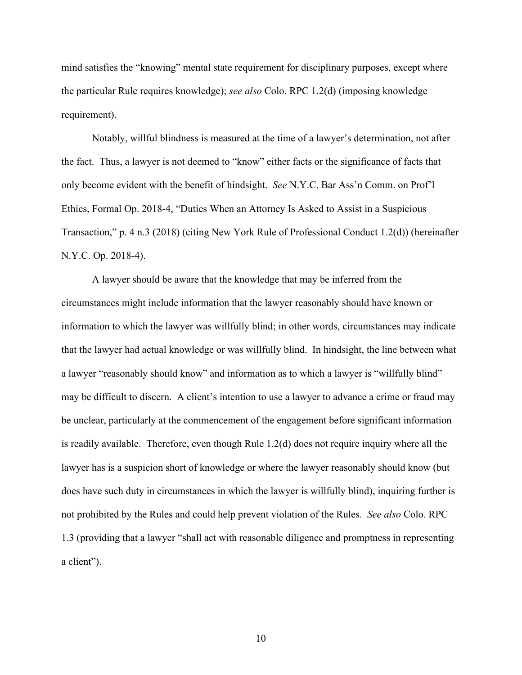mind satisfies the "knowing" mental state requirement for disciplinary purposes, except where the particular Rule requires knowledge); *see also* Colo. RPC 1.2(d) (imposing knowledge requirement).

Notably, willful blindness is measured at the time of a lawyer's determination, not after the fact. Thus, a lawyer is not deemed to "know" either facts or the significance of facts that only become evident with the benefit of hindsight. *See* N.Y.C. Bar Ass'n Comm. on Prof'l Ethics, Formal Op. 2018-4, "Duties When an Attorney Is Asked to Assist in a Suspicious Transaction," p. 4 n.3 (2018) (citing New York Rule of Professional Conduct 1.2(d)) (hereinafter N.Y.C. Op. 2018-4).

A lawyer should be aware that the knowledge that may be inferred from the circumstances might include information that the lawyer reasonably should have known or information to which the lawyer was willfully blind; in other words, circumstances may indicate that the lawyer had actual knowledge or was willfully blind. In hindsight, the line between what a lawyer "reasonably should know" and information as to which a lawyer is "willfully blind" may be difficult to discern. A client's intention to use a lawyer to advance a crime or fraud may be unclear, particularly at the commencement of the engagement before significant information is readily available. Therefore, even though Rule 1.2(d) does not require inquiry where all the lawyer has is a suspicion short of knowledge or where the lawyer reasonably should know (but does have such duty in circumstances in which the lawyer is willfully blind), inquiring further is not prohibited by the Rules and could help prevent violation of the Rules. *See also* Colo. RPC 1.3 (providing that a lawyer "shall act with reasonable diligence and promptness in representing a client").

10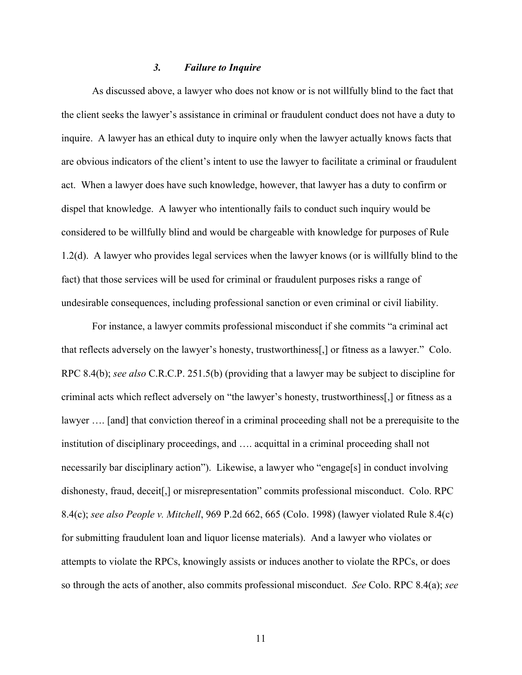#### *3. Failure to Inquire*

As discussed above, a lawyer who does not know or is not willfully blind to the fact that the client seeks the lawyer's assistance in criminal or fraudulent conduct does not have a duty to inquire. A lawyer has an ethical duty to inquire only when the lawyer actually knows facts that are obvious indicators of the client's intent to use the lawyer to facilitate a criminal or fraudulent act. When a lawyer does have such knowledge, however, that lawyer has a duty to confirm or dispel that knowledge. A lawyer who intentionally fails to conduct such inquiry would be considered to be willfully blind and would be chargeable with knowledge for purposes of Rule 1.2(d). A lawyer who provides legal services when the lawyer knows (or is willfully blind to the fact) that those services will be used for criminal or fraudulent purposes risks a range of undesirable consequences, including professional sanction or even criminal or civil liability.

For instance, a lawyer commits professional misconduct if she commits "a criminal act that reflects adversely on the lawyer's honesty, trustworthiness[,] or fitness as a lawyer." Colo. RPC 8.4(b); *see also* C.R.C.P. 251.5(b) (providing that a lawyer may be subject to discipline for criminal acts which reflect adversely on "the lawyer's honesty, trustworthiness[,] or fitness as a lawyer …. [and] that conviction thereof in a criminal proceeding shall not be a prerequisite to the institution of disciplinary proceedings, and …. acquittal in a criminal proceeding shall not necessarily bar disciplinary action"). Likewise, a lawyer who "engage[s] in conduct involving dishonesty, fraud, deceit[,] or misrepresentation" commits professional misconduct. Colo. RPC 8.4(c); *see also People v. Mitchell*, 969 P.2d 662, 665 (Colo. 1998) (lawyer violated Rule 8.4(c) for submitting fraudulent loan and liquor license materials). And a lawyer who violates or attempts to violate the RPCs, knowingly assists or induces another to violate the RPCs, or does so through the acts of another, also commits professional misconduct. *See* Colo. RPC 8.4(a); *see*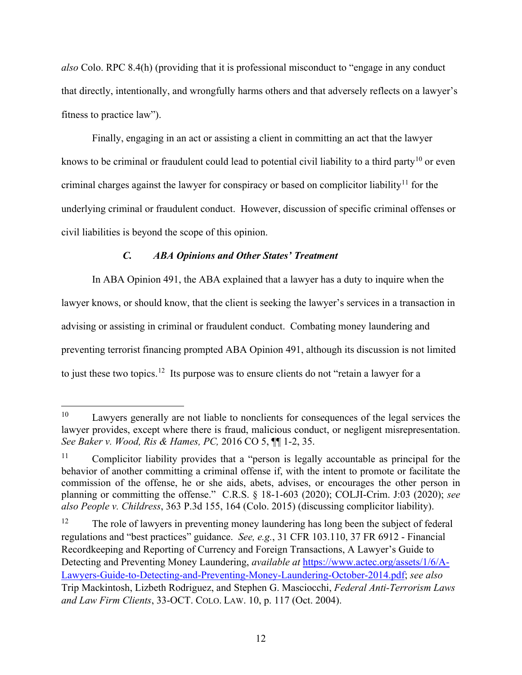*also* Colo. RPC 8.4(h) (providing that it is professional misconduct to "engage in any conduct that directly, intentionally, and wrongfully harms others and that adversely reflects on a lawyer's fitness to practice law").

Finally, engaging in an act or assisting a client in committing an act that the lawyer knows to be criminal or fraudulent could lead to potential civil liability to a third party<sup>[10](#page-11-0)</sup> or even criminal charges against the lawyer for conspiracy or based on complicitor liability<sup>[11](#page-11-1)</sup> for the underlying criminal or fraudulent conduct. However, discussion of specific criminal offenses or civil liabilities is beyond the scope of this opinion.

# *C. ABA Opinions and Other States' Treatment*

In ABA Opinion 491, the ABA explained that a lawyer has a duty to inquire when the lawyer knows, or should know, that the client is seeking the lawyer's services in a transaction in advising or assisting in criminal or fraudulent conduct. Combating money laundering and preventing terrorist financing prompted ABA Opinion 491, although its discussion is not limited to just these two topics.<sup>[12](#page-11-2)</sup> Its purpose was to ensure clients do not "retain a lawyer for a

<span id="page-11-0"></span> $10$  Lawyers generally are not liable to nonclients for consequences of the legal services the lawyer provides, except where there is fraud, malicious conduct, or negligent misrepresentation. *See Baker v. Wood, Ris & Hames, PC,* 2016 CO 5, ¶¶ 1-2, 35.

<span id="page-11-1"></span><sup>&</sup>lt;sup>11</sup> Complicitor liability provides that a "person is legally accountable as principal for the behavior of another committing a criminal offense if, with the intent to promote or facilitate the commission of the offense, he or she aids, abets, advises, or encourages the other person in planning or committing the offense." C.R.S. § 18-1-603 (2020); COLJI-Crim. J:03 (2020); *see also People v. Childress*, 363 P.3d 155, 164 (Colo. 2015) (discussing complicitor liability).

<span id="page-11-2"></span><sup>&</sup>lt;sup>12</sup> The role of lawyers in preventing money laundering has long been the subject of federal regulations and "best practices" guidance. *See, e.g.*, 31 CFR 103.110, 37 FR 6912 - Financial Recordkeeping and Reporting of Currency and Foreign Transactions, A Lawyer's Guide to Detecting and Preventing Money Laundering, *available at* [https://www.actec.org/assets/1/6/A-](https://www.actec.org/assets/1/6/A-Lawyers-Guide-to-Detecting-and-Preventing-Money-Laundering-October-2014.pdf)[Lawyers-Guide-to-Detecting-and-Preventing-Money-Laundering-October-2014.pdf;](https://www.actec.org/assets/1/6/A-Lawyers-Guide-to-Detecting-and-Preventing-Money-Laundering-October-2014.pdf) *see also*  Trip Mackintosh, Lizbeth Rodriguez, and Stephen G. Masciocchi, *Federal Anti-Terrorism Laws and Law Firm Clients*, 33-OCT. COLO. LAW. 10, p. 117 (Oct. 2004).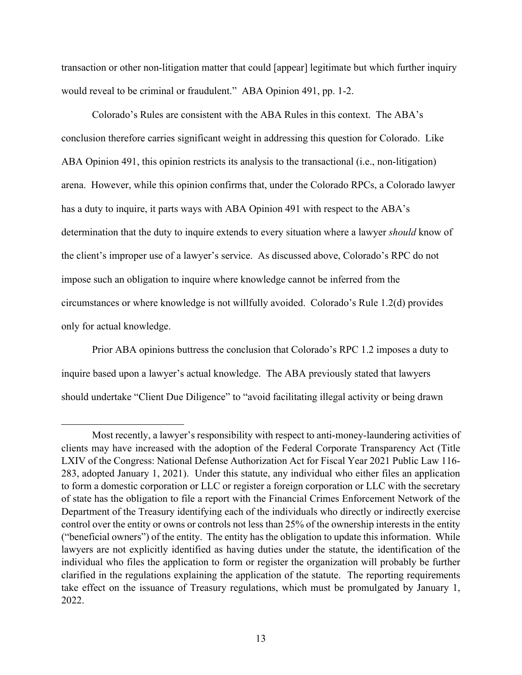transaction or other non-litigation matter that could [appear] legitimate but which further inquiry would reveal to be criminal or fraudulent." ABA Opinion 491, pp. 1-2.

Colorado's Rules are consistent with the ABA Rules in this context. The ABA's conclusion therefore carries significant weight in addressing this question for Colorado. Like ABA Opinion 491, this opinion restricts its analysis to the transactional (i.e., non-litigation) arena. However, while this opinion confirms that, under the Colorado RPCs, a Colorado lawyer has a duty to inquire, it parts ways with ABA Opinion 491 with respect to the ABA's determination that the duty to inquire extends to every situation where a lawyer *should* know of the client's improper use of a lawyer's service. As discussed above, Colorado's RPC do not impose such an obligation to inquire where knowledge cannot be inferred from the circumstances or where knowledge is not willfully avoided. Colorado's Rule 1.2(d) provides only for actual knowledge.

Prior ABA opinions buttress the conclusion that Colorado's RPC 1.2 imposes a duty to inquire based upon a lawyer's actual knowledge. The ABA previously stated that lawyers should undertake "Client Due Diligence" to "avoid facilitating illegal activity or being drawn

Most recently, a lawyer's responsibility with respect to anti-money-laundering activities of clients may have increased with the adoption of the Federal Corporate Transparency Act (Title LXIV of the Congress: National Defense Authorization Act for Fiscal Year 2021 Public Law 116- 283, adopted January 1, 2021). Under this statute, any individual who either files an application to form a domestic corporation or LLC or register a foreign corporation or LLC with the secretary of state has the obligation to file a report with the Financial Crimes Enforcement Network of the Department of the Treasury identifying each of the individuals who directly or indirectly exercise control over the entity or owns or controls not less than 25% of the ownership interests in the entity ("beneficial owners") of the entity. The entity has the obligation to update this information. While lawyers are not explicitly identified as having duties under the statute, the identification of the individual who files the application to form or register the organization will probably be further clarified in the regulations explaining the application of the statute. The reporting requirements take effect on the issuance of Treasury regulations, which must be promulgated by January 1, 2022.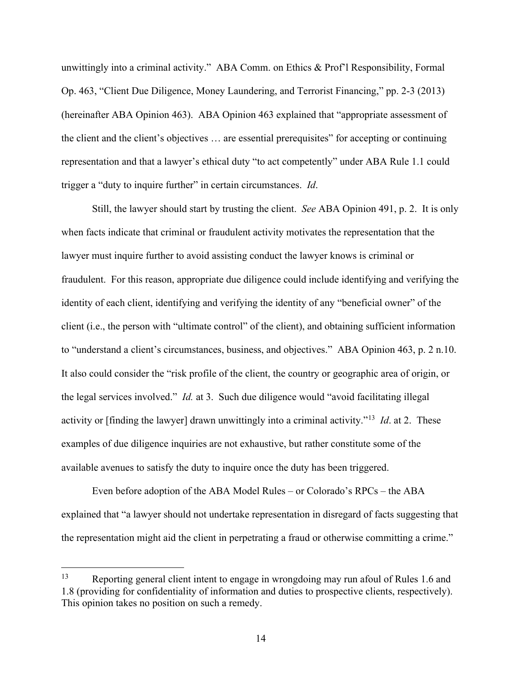unwittingly into a criminal activity." ABA Comm. on Ethics & Prof'l Responsibility, Formal Op. 463, "Client Due Diligence, Money Laundering, and Terrorist Financing," pp. 2-3 (2013) (hereinafter ABA Opinion 463). ABA Opinion 463 explained that "appropriate assessment of the client and the client's objectives … are essential prerequisites" for accepting or continuing representation and that a lawyer's ethical duty "to act competently" under ABA Rule 1.1 could trigger a "duty to inquire further" in certain circumstances. *Id*.

Still, the lawyer should start by trusting the client. *See* ABA Opinion 491, p. 2. It is only when facts indicate that criminal or fraudulent activity motivates the representation that the lawyer must inquire further to avoid assisting conduct the lawyer knows is criminal or fraudulent. For this reason, appropriate due diligence could include identifying and verifying the identity of each client, identifying and verifying the identity of any "beneficial owner" of the client (i.e., the person with "ultimate control" of the client), and obtaining sufficient information to "understand a client's circumstances, business, and objectives." ABA Opinion 463, p. 2 n.10. It also could consider the "risk profile of the client, the country or geographic area of origin, or the legal services involved." *Id.* at 3. Such due diligence would "avoid facilitating illegal activity or [finding the lawyer] drawn unwittingly into a criminal activity."[13](#page-13-0) *Id*. at 2. These examples of due diligence inquiries are not exhaustive, but rather constitute some of the available avenues to satisfy the duty to inquire once the duty has been triggered.

Even before adoption of the ABA Model Rules – or Colorado's RPCs – the ABA explained that "a lawyer should not undertake representation in disregard of facts suggesting that the representation might aid the client in perpetrating a fraud or otherwise committing a crime."

<span id="page-13-0"></span><sup>&</sup>lt;sup>13</sup> Reporting general client intent to engage in wrongdoing may run afoul of Rules 1.6 and 1.8 (providing for confidentiality of information and duties to prospective clients, respectively). This opinion takes no position on such a remedy.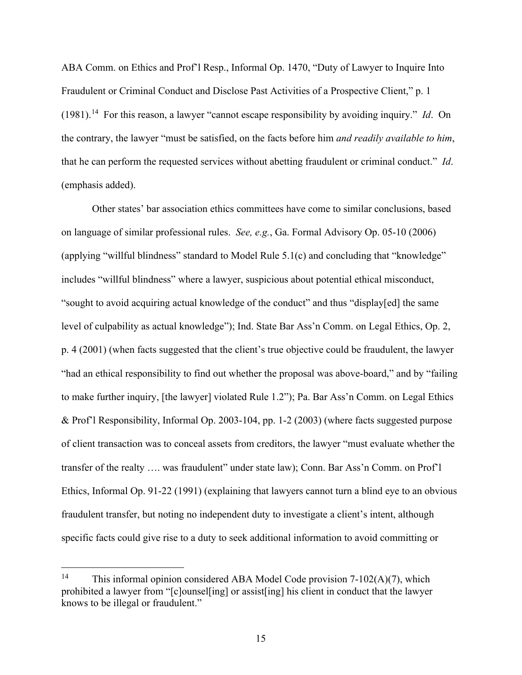ABA Comm. on Ethics and Prof'l Resp., Informal Op. 1470, "Duty of Lawyer to Inquire Into Fraudulent or Criminal Conduct and Disclose Past Activities of a Prospective Client," p. 1 (1981).[14](#page-14-0) For this reason, a lawyer "cannot escape responsibility by avoiding inquiry." *Id*. On the contrary, the lawyer "must be satisfied, on the facts before him *and readily available to him*, that he can perform the requested services without abetting fraudulent or criminal conduct." *Id*. (emphasis added).

Other states' bar association ethics committees have come to similar conclusions, based on language of similar professional rules. *See, e.g.*, Ga. Formal Advisory Op. 05-10 (2006) (applying "willful blindness" standard to Model Rule 5.1(c) and concluding that "knowledge" includes "willful blindness" where a lawyer, suspicious about potential ethical misconduct, "sought to avoid acquiring actual knowledge of the conduct" and thus "display[ed] the same level of culpability as actual knowledge"); Ind. State Bar Ass'n Comm. on Legal Ethics, Op. 2, p. 4 (2001) (when facts suggested that the client's true objective could be fraudulent, the lawyer "had an ethical responsibility to find out whether the proposal was above-board," and by "failing to make further inquiry, [the lawyer] violated Rule 1.2"); Pa. Bar Ass'n Comm. on Legal Ethics & Prof'l Responsibility, Informal Op. 2003-104, pp. 1-2 (2003) (where facts suggested purpose of client transaction was to conceal assets from creditors, the lawyer "must evaluate whether the transfer of the realty …. was fraudulent" under state law); Conn. Bar Ass'n Comm. on Prof'l Ethics, Informal Op. 91-22 (1991) (explaining that lawyers cannot turn a blind eye to an obvious fraudulent transfer, but noting no independent duty to investigate a client's intent, although specific facts could give rise to a duty to seek additional information to avoid committing or

<span id="page-14-0"></span><sup>&</sup>lt;sup>14</sup> This informal opinion considered ABA Model Code provision  $7-102(A)(7)$ , which prohibited a lawyer from "[c]ounsel[ing] or assist[ing] his client in conduct that the lawyer knows to be illegal or fraudulent."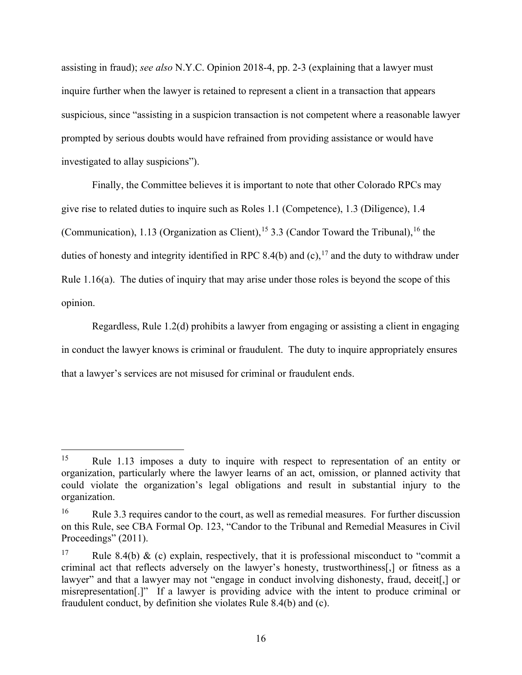assisting in fraud); *see also* N.Y.C. Opinion 2018-4, pp. 2-3 (explaining that a lawyer must inquire further when the lawyer is retained to represent a client in a transaction that appears suspicious, since "assisting in a suspicion transaction is not competent where a reasonable lawyer prompted by serious doubts would have refrained from providing assistance or would have investigated to allay suspicions").

Finally, the Committee believes it is important to note that other Colorado RPCs may give rise to related duties to inquire such as Roles 1.1 (Competence), 1.3 (Diligence), 1.4 (Communication), 1.13 (Organization as Client), <sup>[15](#page-15-0)</sup> 3.3 (Candor Toward the Tribunal), <sup>[16](#page-15-1)</sup> the duties of honesty and integrity identified in RPC 8.4(b) and (c),  $^{17}$  $^{17}$  $^{17}$  and the duty to withdraw under Rule 1.16(a). The duties of inquiry that may arise under those roles is beyond the scope of this opinion.

Regardless, Rule 1.2(d) prohibits a lawyer from engaging or assisting a client in engaging in conduct the lawyer knows is criminal or fraudulent. The duty to inquire appropriately ensures that a lawyer's services are not misused for criminal or fraudulent ends.

<span id="page-15-0"></span><sup>15</sup> Rule 1.13 imposes a duty to inquire with respect to representation of an entity or organization, particularly where the lawyer learns of an act, omission, or planned activity that could violate the organization's legal obligations and result in substantial injury to the organization.

<span id="page-15-1"></span><sup>&</sup>lt;sup>16</sup> Rule 3.3 requires candor to the court, as well as remedial measures. For further discussion on this Rule, see CBA Formal Op. 123, "Candor to the Tribunal and Remedial Measures in Civil Proceedings" (2011).

<span id="page-15-2"></span><sup>&</sup>lt;sup>17</sup> Rule 8.4(b) & (c) explain, respectively, that it is professional misconduct to "commit a criminal act that reflects adversely on the lawyer's honesty, trustworthiness[,] or fitness as a lawyer" and that a lawyer may not "engage in conduct involving dishonesty, fraud, deceit<sup>[1]</sup>, or misrepresentation[.]" If a lawyer is providing advice with the intent to produce criminal or fraudulent conduct, by definition she violates Rule 8.4(b) and (c).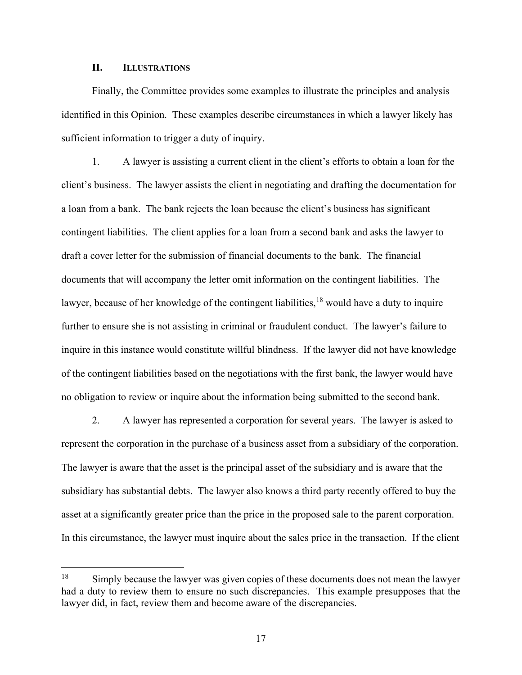#### **II. ILLUSTRATIONS**

Finally, the Committee provides some examples to illustrate the principles and analysis identified in this Opinion. These examples describe circumstances in which a lawyer likely has sufficient information to trigger a duty of inquiry.

1. A lawyer is assisting a current client in the client's efforts to obtain a loan for the client's business. The lawyer assists the client in negotiating and drafting the documentation for a loan from a bank. The bank rejects the loan because the client's business has significant contingent liabilities. The client applies for a loan from a second bank and asks the lawyer to draft a cover letter for the submission of financial documents to the bank. The financial documents that will accompany the letter omit information on the contingent liabilities. The lawyer, because of her knowledge of the contingent liabilities,  $18$  would have a duty to inquire further to ensure she is not assisting in criminal or fraudulent conduct. The lawyer's failure to inquire in this instance would constitute willful blindness. If the lawyer did not have knowledge of the contingent liabilities based on the negotiations with the first bank, the lawyer would have no obligation to review or inquire about the information being submitted to the second bank.

2. A lawyer has represented a corporation for several years. The lawyer is asked to represent the corporation in the purchase of a business asset from a subsidiary of the corporation. The lawyer is aware that the asset is the principal asset of the subsidiary and is aware that the subsidiary has substantial debts. The lawyer also knows a third party recently offered to buy the asset at a significantly greater price than the price in the proposed sale to the parent corporation. In this circumstance, the lawyer must inquire about the sales price in the transaction. If the client

<span id="page-16-0"></span><sup>&</sup>lt;sup>18</sup> Simply because the lawyer was given copies of these documents does not mean the lawyer had a duty to review them to ensure no such discrepancies. This example presupposes that the lawyer did, in fact, review them and become aware of the discrepancies.